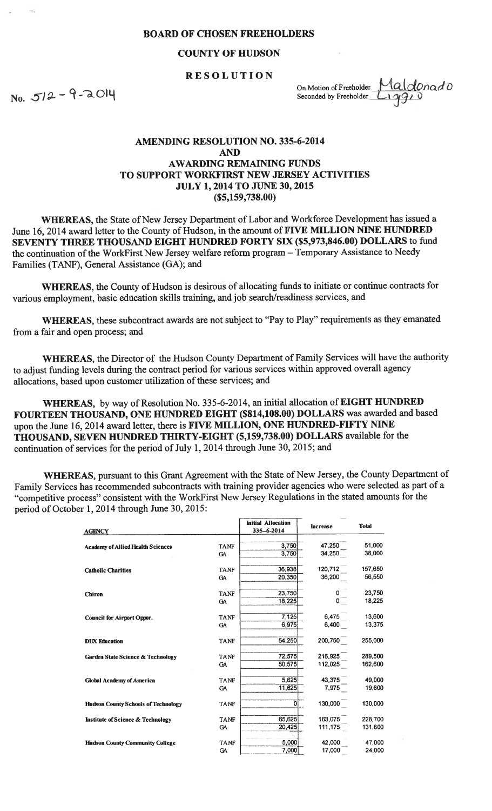## BOARD OF CHOSEN FREEHOLDERS

## COUNTY OF HUDSON

## RESOLUTION

 $No. 512 - 9-2014$ 

On Motion of Freeholder  $\frac{Maldonad0}{\sqrt{2}}$ 

## AMENDING RESOLUTION NO. 335-6-2014 AND AWARDING REMAINING FUNDS TO SUPPORT WORKFIRST NEW JERSEY ACTIVITIES JULY 1, 2014 TO JUNE 30, 2015 (\$5,159,738.00)

WHEREAS, the State of New Jersey Department of Labor and Workforce Development has issued a June 16, 2014 award letter to the County of Hudson, in the amount of FIVE MILLION NINE HUNDRED SEVENTY THREE THOUSAND EIGHT HUNDRED FORTY SIX (\$5,973,846.00) DOLLARS to fund the continuation of the WorkFirst New Jersey welfare reform program — Temporary Assistance to Needy Families (TANF), General Assistance (GA); and

WHEREAS, the County of Hudson is desirous of allocating funds to initiate or continue contracts for various employment, basic education skills training, and job search/readiness services, and

WHEREAS, these subcontract awards are not subject to "Pay to Play" requirements as they emanated from <sup>a</sup> fair and open process; and

WHEREAS, the Director of the Hudson County Department of Family Services will have the authority to adjust funding levels during the contract period for various services within approve<sup>d</sup> overall agency allocations, based upon customer utilization of these services; and

WHEREAS, by way of Resolution No. 335-6-2014, an initial allocation of EIGHT HUNDRED FOURTEEN THOUSAND, ONE HUNDRED EIGHT (\$814,108.00) DOLLARS was awarded and based upon the June 16, 2014 award letter, there is FIVE MILLION, ONE HUNDRED-FIFTY NINE THOUSAND, SEVEN HUNDRED THIRTY-EIGHT (5,159,738.00) DOLLARS available for the continuation of services for the period of July 1, 2014 through June 30, 2015; and

WHEREAS, pursuan<sup>t</sup> to this Grant Agreement with the State of New Jersey, the County Department of Family Services has recommended subcontracts with training provider agencies who were selected as par<sup>t</sup> of <sup>a</sup> "competitive process" consistent with the WorkFirst New Jersey Regulations in the stated amounts for the period of October 1, 2014 through June 30, 2015:

| <b>AGENCY</b>                                |             | <b>Initial Allocation</b><br>335-6-2014 | <b>Increase</b> | <b>Total</b> |
|----------------------------------------------|-------------|-----------------------------------------|-----------------|--------------|
|                                              |             |                                         |                 |              |
| <b>Academy of Allied Health Sciences</b>     | <b>TANF</b> | 3,750                                   | 47,250          | 51,000       |
|                                              | <b>GA</b>   | 3,750                                   | 34,250          | 38,000       |
| <b>Catholic Charities</b>                    | <b>TANF</b> | 36,938                                  | 120,712         | 157,650      |
|                                              | GA          | 20,350                                  | 36,200          | 56,550       |
| <b>Chiron</b>                                | <b>TANF</b> | 23,750                                  |                 | 23,750       |
|                                              | <b>GA</b>   | 18,225                                  | o               | 18,225       |
| <b>Council for Airport Oppor.</b>            | <b>TANF</b> | 7,125                                   | 6,475           | 13,600       |
|                                              | <b>GA</b>   | 6,975                                   | 6,400           | 13,375       |
| <b>DUX Education</b>                         | <b>TANF</b> | 54,250                                  | 200,750         | 255,000      |
| <b>Garden State Science &amp; Technology</b> | <b>TANF</b> | 72,575                                  | 216,925         | 289,500      |
|                                              | GA          | 50,575                                  | 112,025         | 162,600      |
| <b>Global Academy of America</b>             | <b>TANF</b> | 5,625                                   | 43,375          | 49,000       |
|                                              | <b>GA</b>   | 11,625                                  | 7,975           | 19,600       |
| <b>Hudson County Schools of Technology</b>   | <b>TANF</b> | 0                                       | 130,000         | 130,000      |
| <b>Institute of Science &amp; Technology</b> | <b>TANF</b> | 65,625                                  | 163,075         | 228,700      |
|                                              | <b>GA</b>   | 20,425                                  | 111,175         | 131,600      |
| <b>Hudson County Community College</b>       | <b>TANF</b> | 5,000                                   | 42,000          | 47,000       |
|                                              | <b>GA</b>   | 7,000                                   | 17,000          | 24,000       |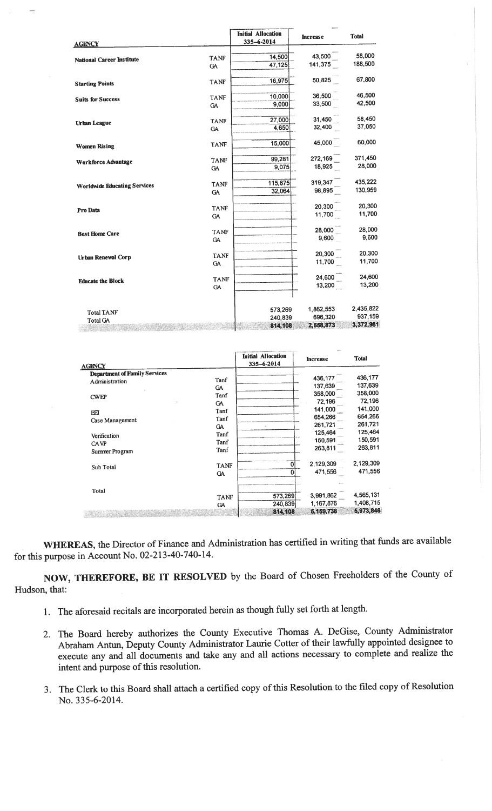|                                     |                          | <b>Initial Allocation</b><br>335-6-2014 | <b>Increase</b> | <b>Total</b> |
|-------------------------------------|--------------------------|-----------------------------------------|-----------------|--------------|
| <b>AGENCY</b>                       |                          |                                         |                 |              |
| <b>National Career Institute</b>    | <b>TANF</b>              | 14,500                                  | 43,500          | 58,000       |
|                                     | <b>GA</b>                | 47,125                                  | 141,375         | 188,500      |
| <b>Starting Points</b>              | <b>TANF</b>              | 16.975                                  | 50,825          | 67,800       |
| <b>Suits for Success</b>            | <b>TANF</b>              | 10.000                                  | 36,500          | 46,500       |
|                                     | <b>GA</b>                | 9,000                                   | 33,500          | 42,500       |
|                                     | <b>TANF</b>              | 27,000                                  | 31,450          | 58,450       |
| <b>Urban League</b>                 | GA                       | 4,650                                   | 32,400          | 37,050       |
| <b>Women Rising</b>                 | <b>TANF</b>              | 15,000                                  | 45,000          | 60,000       |
|                                     | <b>TANF</b>              | 99,281                                  | 272,169         | 371,450      |
| <b>Workforce Advantage</b>          | <b>GA</b>                | 9,075                                   | 18,925          | 28,000       |
|                                     | <b>TANF</b>              | 115,875                                 | 319,347         | 435,222      |
| <b>Worldwide Educating Services</b> | <b>GA</b>                | 32,064                                  | 98,895          | 130,959      |
|                                     | <b>TANF</b>              |                                         | 20,300          | 20,300       |
| Pro Data                            | <b>GA</b>                |                                         | 11,700          | 11,700       |
|                                     | <b>TANF</b>              |                                         | 28,000          | 28,000       |
| <b>Best Home Care</b>               | <b>GA</b>                |                                         | 9.600           | 9,600        |
|                                     | <b>TANF</b>              |                                         | 20,300          | 20,300       |
| <b>Urban Renewal Corp</b>           | <b>GA</b>                |                                         | 11,700          | 11,700       |
|                                     |                          |                                         | 24,600          | 24,600       |
| <b>Educate the Block</b>            | <b>TANF</b><br><b>GA</b> |                                         | 13,200          | 13,200       |
|                                     |                          |                                         |                 |              |
| <b>Total TANF</b>                   |                          | 573,269                                 | 1,862,553       | 2,435,822    |
| <b>Total GA</b>                     |                          | 240,839                                 | 696,320         | 937,159      |
|                                     |                          | 814,108                                 | 2,558,873       | 3,372,981    |

| AGENCY                               |             | <b>Initial Allocation</b><br>335-6-2014 | <b>Increase</b> | <b>Total</b> |
|--------------------------------------|-------------|-----------------------------------------|-----------------|--------------|
| <b>Department of Family Services</b> |             |                                         |                 |              |
| Administration                       | Tanf        |                                         | 436,177         | 436,177      |
|                                      | <b>GA</b>   |                                         | 137,639         | 137,639      |
| <b>CWEP</b>                          | Tanf        |                                         | 358,000         | 358,000      |
|                                      | <b>GA</b>   |                                         | 72,196          | 72,196       |
| ЕEІ                                  | Tanf        |                                         | 141,000         | 141,000      |
| Case Management                      | Tanf        |                                         | 654,266         | 654,266      |
|                                      | GA          |                                         | 261,721         | 261,721      |
|                                      | Tanf        |                                         | 125,464         | 125,464      |
| Verification                         | Tanf        |                                         | 150,591         | 150,591      |
| <b>CAVP</b><br>Summer Program        | Tanf        |                                         | 263,811         | 263.811      |
| Sub Total                            | <b>TANF</b> |                                         | 2,129,309       | 2,129,309    |
|                                      | <b>GA</b>   |                                         | 471,556         | 471,556      |
| Total                                |             |                                         |                 |              |
|                                      | <b>TANF</b> | 573,269                                 | 3,991,862       | 4,565,131    |
|                                      | <b>GA</b>   | 240,839                                 | 1,167,876       | 1,408,715    |
|                                      |             | 814,108                                 | 5, 159, 738     | 5,973,846    |

WHEREAS, the Director of Finance and Administration has certified in writing that funds are available for this purpose in Account No. 02-213-40-740-14.

NOW, THEREFORE, BE IT RESOLVED by the Board of Chosen Freeholders of the County of Hudson, that:

- 1. The aforesaid recitals are incorporated herein as though fully set forth at length.
- 2. The Board hereby authorizes the County Executive Thomas A. DeGise, County Administrator Abraham Antun, Deputy County Administrator Laurie Cotter of their lawfully appointed designee to execute any and all documents and take any and all actions necessary to complete and realize the intent and purpose of this resolution.
- 3. The Clerk to this Board shall attach a certified copy of this Resolution to the filed copy of Resolution No. 335-6-2014.